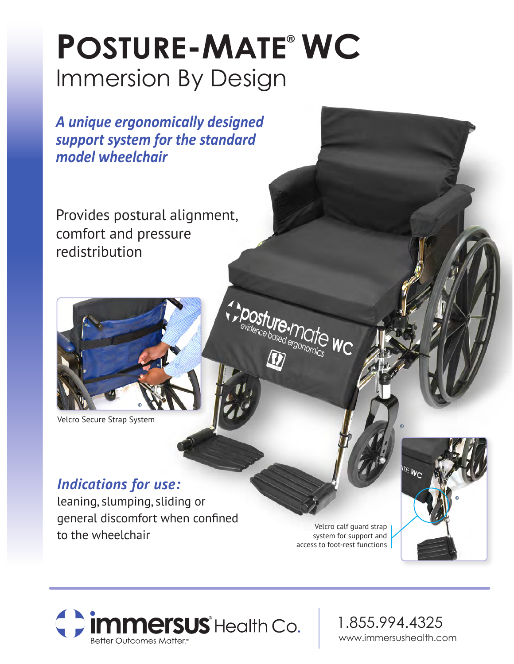# Immersion By Design **POSTURE-MATE® WC**

*A unique ergonomically designed support system for the standard model wheelchair*

Provides postural alignment, comfort and pressure redistribution



Velcro Secure Strap System

### *Indications for use:*

leaning, slumping, sliding or general discomfort when confined to the wheelchair

Velcro calf guard strap system for support and access to foot-rest functions

or Ure.marte

TO WC





1.855.994.4325 www.immersushealth.com